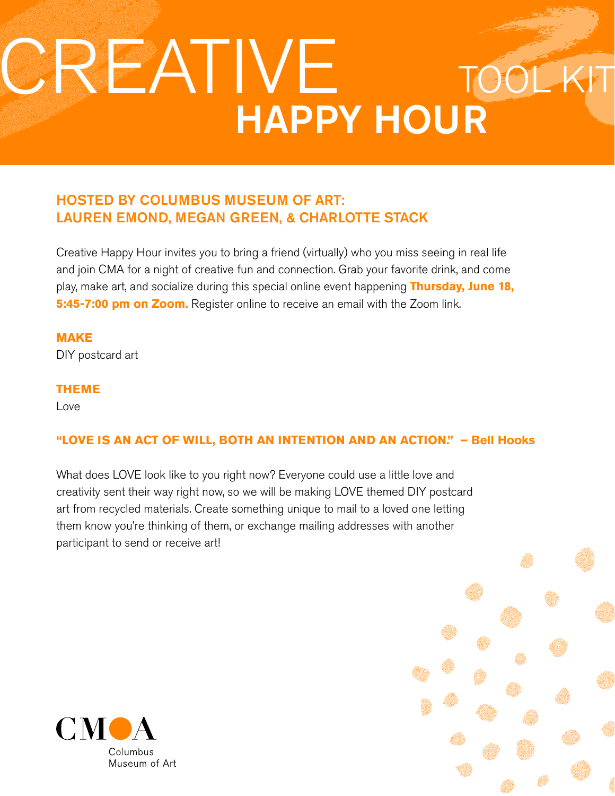# HAPPY HOUR CREATIVE

# HOSTED BY COLUMBUS MUSEUM OF ART: LAUREN EMOND, MEGAN GREEN, & CHARLOTTE STACK

Creative Happy Hour invites you to bring a friend (virtually) who you miss seeing in real life and join CMA for a night of creative fun and connection. Grab your favorite drink, and come play, make art, and socialize during this special online event happening **Thursday, June 18, 5:45-7:00 pm on Zoom.** Register online to receive an email with the Zoom link.

**MAKE**  DIY postcard art

**THEME**

Love

# **"LOVE IS AN ACT OF WILL, BOTH AN INTENTION AND AN ACTION." – Bell Hooks**

What does LOVE look like to you right now? Everyone could use a little love and creativity sent their way right now, so we will be making LOVE themed DIY postcard art from recycled materials. Create something unique to mail to a loved one letting them know you're thinking of them, or exchange mailing addresses with another participant to send or receive art!